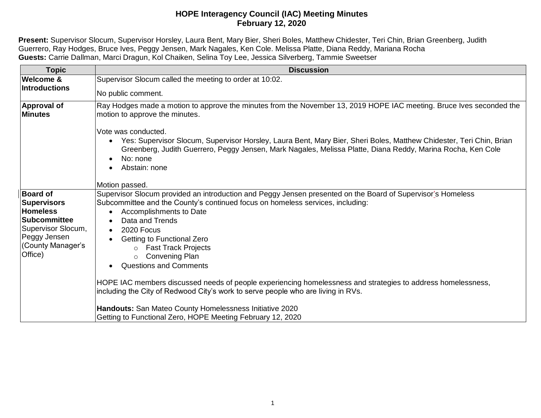## **HOPE Interagency Council (IAC) Meeting Minutes February 12, 2020**

**Present:** Supervisor Slocum, Supervisor Horsley, Laura Bent, Mary Bier, Sheri Boles, Matthew Chidester, Teri Chin, Brian Greenberg, Judith Guerrero, Ray Hodges, Bruce Ives, Peggy Jensen, Mark Nagales, Ken Cole. Melissa Platte, Diana Reddy, Mariana Rocha **Guests:** Carrie Dallman, Marci Dragun, Kol Chaiken, Selina Toy Lee, Jessica Silverberg, Tammie Sweetser

| <b>Topic</b>                                                                                                                                          | <b>Discussion</b>                                                                                                                                                                                                                                                                                                                                                                                                                                           |
|-------------------------------------------------------------------------------------------------------------------------------------------------------|-------------------------------------------------------------------------------------------------------------------------------------------------------------------------------------------------------------------------------------------------------------------------------------------------------------------------------------------------------------------------------------------------------------------------------------------------------------|
| <b>Welcome &amp;</b><br><b>Introductions</b>                                                                                                          | Supervisor Slocum called the meeting to order at 10:02.                                                                                                                                                                                                                                                                                                                                                                                                     |
|                                                                                                                                                       | No public comment.                                                                                                                                                                                                                                                                                                                                                                                                                                          |
| <b>Approval of</b><br><b>Minutes</b>                                                                                                                  | Ray Hodges made a motion to approve the minutes from the November 13, 2019 HOPE IAC meeting. Bruce Ives seconded the<br>motion to approve the minutes.                                                                                                                                                                                                                                                                                                      |
|                                                                                                                                                       | Vote was conducted.<br>Yes: Supervisor Slocum, Supervisor Horsley, Laura Bent, Mary Bier, Sheri Boles, Matthew Chidester, Teri Chin, Brian<br>$\bullet$<br>Greenberg, Judith Guerrero, Peggy Jensen, Mark Nagales, Melissa Platte, Diana Reddy, Marina Rocha, Ken Cole<br>No: none<br>$\bullet$<br>Abstain: none                                                                                                                                            |
|                                                                                                                                                       | Motion passed.                                                                                                                                                                                                                                                                                                                                                                                                                                              |
| <b>Board of</b><br><b>Supervisors</b><br><b>Homeless</b><br><b>Subcommittee</b><br>Supervisor Slocum,<br>Peggy Jensen<br>(County Manager's<br>Office) | Supervisor Slocum provided an introduction and Peggy Jensen presented on the Board of Supervisor's Homeless<br>Subcommittee and the County's continued focus on homeless services, including:<br>Accomplishments to Date<br>$\bullet$<br>Data and Trends<br>$\bullet$<br>2020 Focus<br>$\bullet$<br>Getting to Functional Zero<br>$\bullet$<br><b>Fast Track Projects</b><br><b>Convening Plan</b><br>$\circ$<br><b>Questions and Comments</b><br>$\bullet$ |
|                                                                                                                                                       | HOPE IAC members discussed needs of people experiencing homelessness and strategies to address homelessness,<br>including the City of Redwood City's work to serve people who are living in RVs.                                                                                                                                                                                                                                                            |
|                                                                                                                                                       | Handouts: San Mateo County Homelessness Initiative 2020<br>Getting to Functional Zero, HOPE Meeting February 12, 2020                                                                                                                                                                                                                                                                                                                                       |